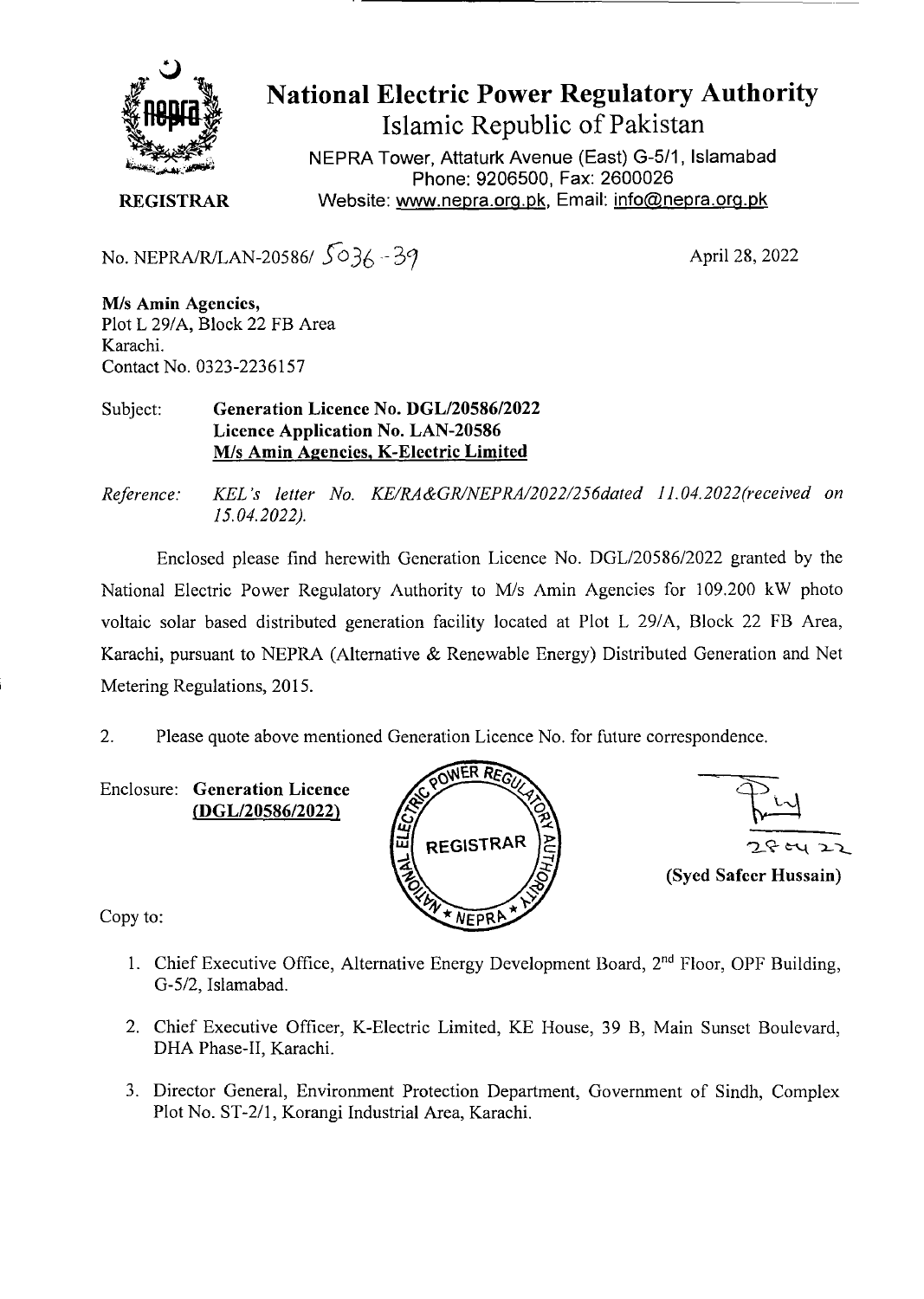

National Electric Power Regulatory Authority Islamic Republic of Pakistan

NEPRA Tower, Attaturk Avenue (East) G-5/1, Islamabad Phone: 9206500, Fax: 2600026 **REGISTRAR Website: www.nepra.org.pk, Email: info@nepra.org.pk** 

No. NEPRA/R/LAN-20586/ *fo3,* 

April 28, 2022

MIs **Amin Agencies,**  Plot L 29/A, Block 22 FB Area Karachi. Contact No. 0323-2236157

Subject: **Generation Licence No.** *DGL12058612022*  **Licence Application No. LAN-20586**  MIs **Amin Agencies,** K**-Electric Limited** 

*Reference. KEL 's letter No. KE/RA&GR/NEPRA/2022/256dated 1I.04.2022(received on 15.04.2022).* 

Enclosed please find herewith Generation Licence No. DGL/20586/2022 granted by the National Electric Power Regulatory Authority to M/s Amin Agencies for 109.200 kW photo voltaic solar based distributed generation facility located at Plot L 29/A, Block 22 FB Area, Karachi, pursuant to NEPRA (Alternative & Renewable Energy) Distributed Generation and Net Metering Regulations, 2015.

2. Please quote above mentioned Generation Licence No. for future correspondence.

Enclosure: **Generation Licence (DGL/20586/2022)** 





Copy to:

- 1. Chief Executive Office, Alternative Energy Development Board,  $2<sup>nd</sup>$  Floor, OPF Building, G-5/2, Islamabad.
- 2. Chief Executive Officer, K-Electric Limited, KE House, 39 B, Main Sunset Boulevard, DHA Phase-Il, Karachi.
- 3. Director General, Environment Protection Department, Government of Sindh, Complex Plot No. ST-2/1, Korangi Industrial Area, Karachi.